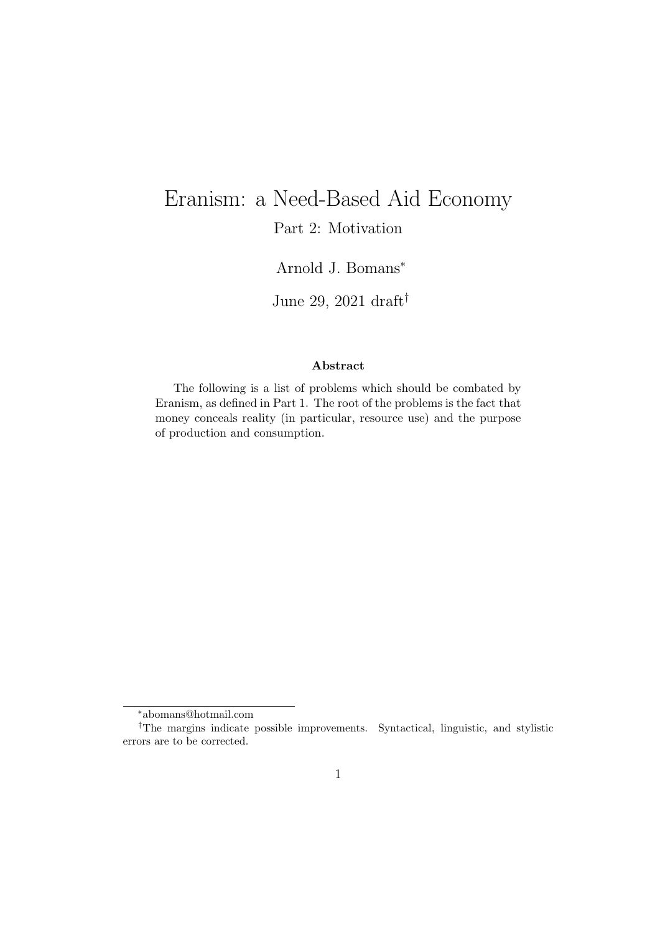# Eranism: a Need-Based Aid Economy Part 2: Motivation

Arnold J. Bomans<sup>∗</sup>

June 29, 2021 draft†

#### Abstract

The following is a list of problems which should be combated by Eranism, as defined in Part 1. The root of the problems is the fact that money conceals reality (in particular, resource use) and the purpose of production and consumption.

<sup>∗</sup>abomans@hotmail.com

<sup>†</sup>The margins indicate possible improvements. Syntactical, linguistic, and stylistic errors are to be corrected.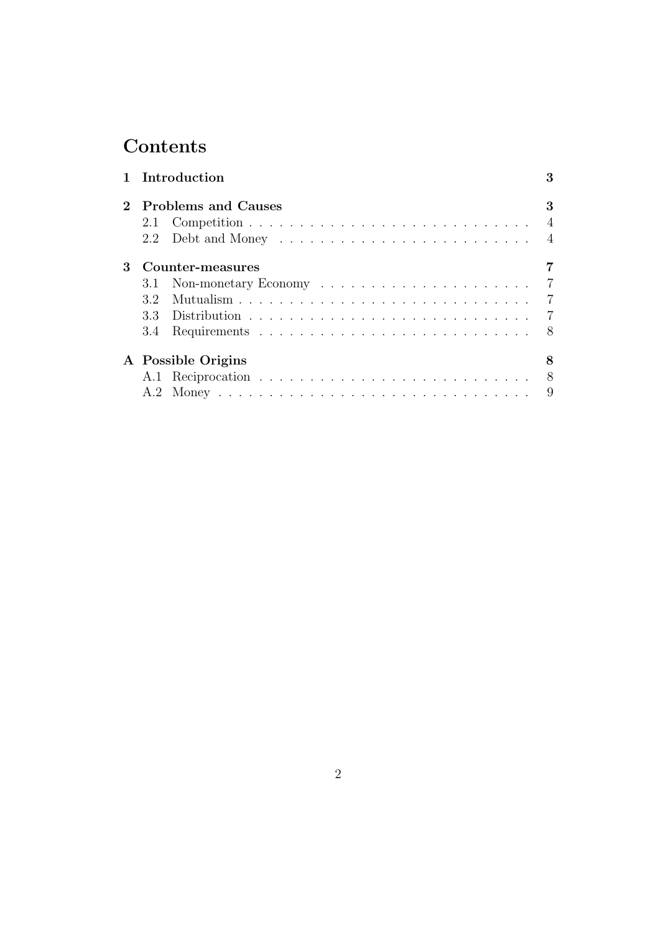# **Contents**

|   |                         | 1 Introduction        | 3 |  |
|---|-------------------------|-----------------------|---|--|
|   |                         | 2 Problems and Causes |   |  |
|   |                         |                       |   |  |
|   |                         |                       |   |  |
| 3 | Counter-measures        |                       |   |  |
|   |                         |                       |   |  |
|   |                         |                       |   |  |
|   |                         |                       |   |  |
|   |                         |                       |   |  |
|   | A Possible Origins<br>8 |                       |   |  |
|   |                         |                       |   |  |
|   |                         |                       |   |  |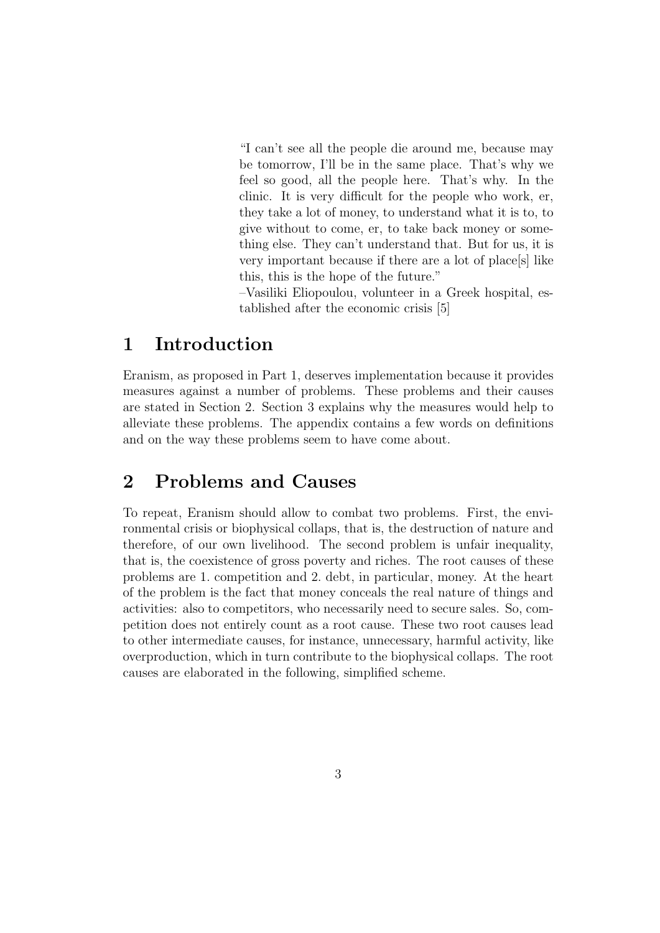"I can't see all the people die around me, because may be tomorrow, I'll be in the same place. That's why we feel so good, all the people here. That's why. In the clinic. It is very difficult for the people who work, er, they take a lot of money, to understand what it is to, to give without to come, er, to take back money or something else. They can't understand that. But for us, it is very important because if there are a lot of place[s] like this, this is the hope of the future."

–Vasiliki Eliopoulou, volunteer in a Greek hospital, established after the economic crisis [5]

## 1 Introduction

Eranism, as proposed in Part 1, deserves implementation because it provides measures against a number of problems. These problems and their causes are stated in Section 2. Section 3 explains why the measures would help to alleviate these problems. The appendix contains a few words on definitions and on the way these problems seem to have come about.

## 2 Problems and Causes

To repeat, Eranism should allow to combat two problems. First, the environmental crisis or biophysical collaps, that is, the destruction of nature and therefore, of our own livelihood. The second problem is unfair inequality, that is, the coexistence of gross poverty and riches. The root causes of these problems are 1. competition and 2. debt, in particular, money. At the heart of the problem is the fact that money conceals the real nature of things and activities: also to competitors, who necessarily need to secure sales. So, competition does not entirely count as a root cause. These two root causes lead to other intermediate causes, for instance, unnecessary, harmful activity, like overproduction, which in turn contribute to the biophysical collaps. The root causes are elaborated in the following, simplified scheme.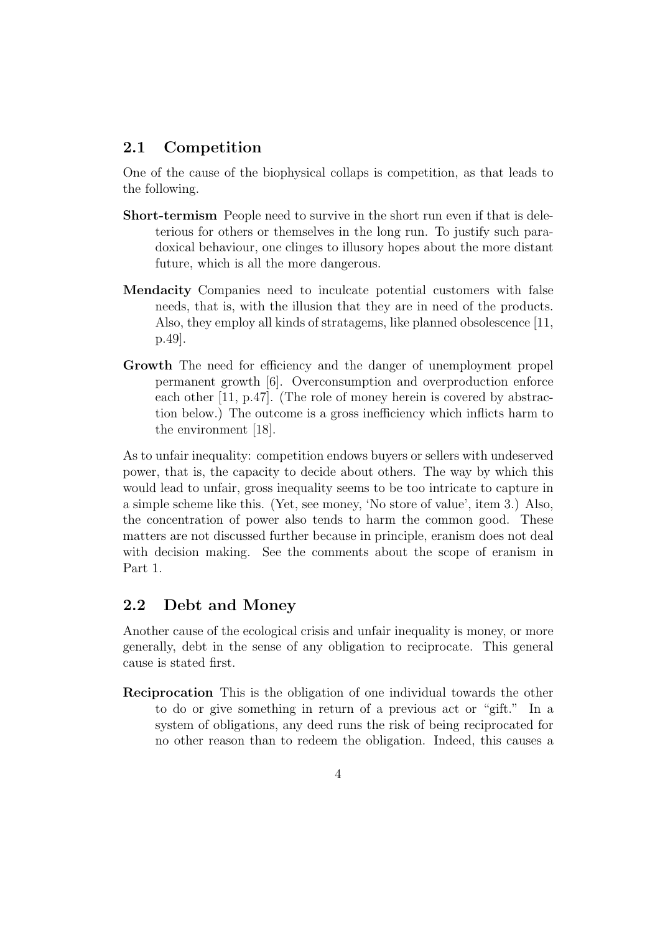#### 2.1 Competition

One of the cause of the biophysical collaps is competition, as that leads to the following.

- Short-termism People need to survive in the short run even if that is deleterious for others or themselves in the long run. To justify such paradoxical behaviour, one clinges to illusory hopes about the more distant future, which is all the more dangerous.
- Mendacity Companies need to inculcate potential customers with false needs, that is, with the illusion that they are in need of the products. Also, they employ all kinds of stratagems, like planned obsolescence [11, p.49].
- Growth The need for efficiency and the danger of unemployment propel permanent growth [6]. Overconsumption and overproduction enforce each other [11, p.47]. (The role of money herein is covered by abstraction below.) The outcome is a gross inefficiency which inflicts harm to the environment [18].

As to unfair inequality: competition endows buyers or sellers with undeserved power, that is, the capacity to decide about others. The way by which this would lead to unfair, gross inequality seems to be too intricate to capture in a simple scheme like this. (Yet, see money, 'No store of value', item 3.) Also, the concentration of power also tends to harm the common good. These matters are not discussed further because in principle, eranism does not deal with decision making. See the comments about the scope of eranism in Part 1.

#### 2.2 Debt and Money

Another cause of the ecological crisis and unfair inequality is money, or more generally, debt in the sense of any obligation to reciprocate. This general cause is stated first.

Reciprocation This is the obligation of one individual towards the other to do or give something in return of a previous act or "gift." In a system of obligations, any deed runs the risk of being reciprocated for no other reason than to redeem the obligation. Indeed, this causes a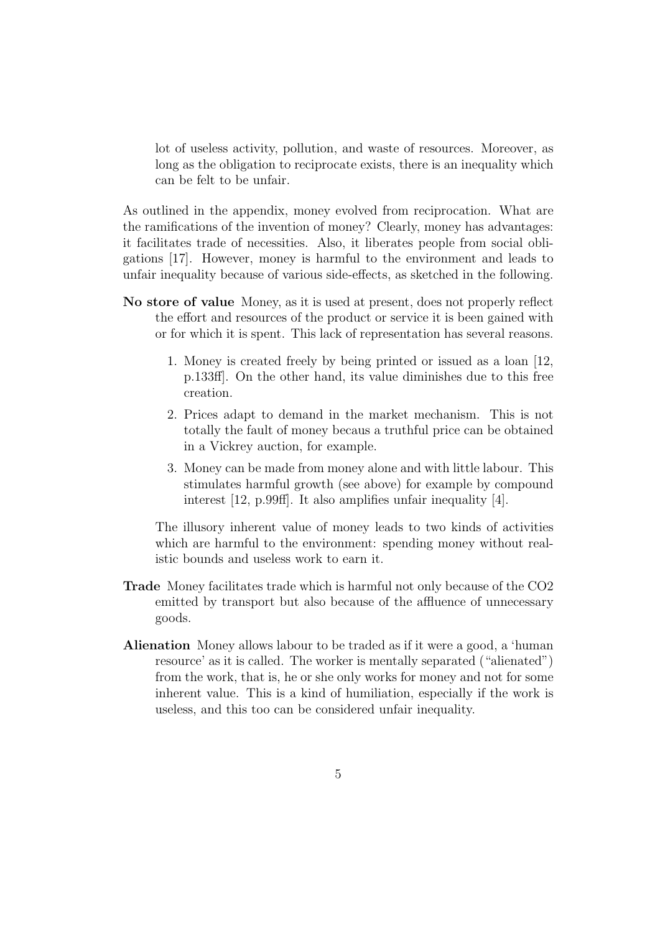lot of useless activity, pollution, and waste of resources. Moreover, as long as the obligation to reciprocate exists, there is an inequality which can be felt to be unfair.

As outlined in the appendix, money evolved from reciprocation. What are the ramifications of the invention of money? Clearly, money has advantages: it facilitates trade of necessities. Also, it liberates people from social obligations [17]. However, money is harmful to the environment and leads to unfair inequality because of various side-effects, as sketched in the following.

- No store of value Money, as it is used at present, does not properly reflect the effort and resources of the product or service it is been gained with or for which it is spent. This lack of representation has several reasons.
	- 1. Money is created freely by being printed or issued as a loan [12, p.133ff]. On the other hand, its value diminishes due to this free creation.
	- 2. Prices adapt to demand in the market mechanism. This is not totally the fault of money becaus a truthful price can be obtained in a Vickrey auction, for example.
	- 3. Money can be made from money alone and with little labour. This stimulates harmful growth (see above) for example by compound interest [12, p.99ff]. It also amplifies unfair inequality [4].

The illusory inherent value of money leads to two kinds of activities which are harmful to the environment: spending money without realistic bounds and useless work to earn it.

- Trade Money facilitates trade which is harmful not only because of the CO2 emitted by transport but also because of the affluence of unnecessary goods.
- Alienation Money allows labour to be traded as if it were a good, a 'human resource' as it is called. The worker is mentally separated ("alienated") from the work, that is, he or she only works for money and not for some inherent value. This is a kind of humiliation, especially if the work is useless, and this too can be considered unfair inequality.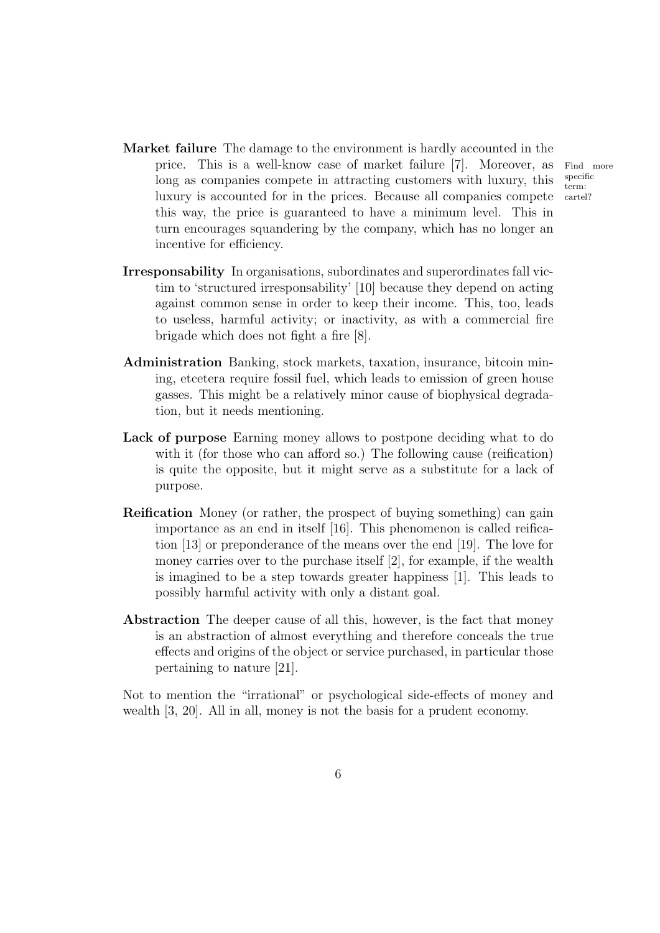- Market failure The damage to the environment is hardly accounted in the price. This is a well-know case of market failure [7]. Moreover, as Find more long as companies compete in attracting customers with luxury, this luxury is accounted for in the prices. Because all companies compete this way, the price is guaranteed to have a minimum level. This in turn encourages squandering by the company, which has no longer an incentive for efficiency.
- Irresponsability In organisations, subordinates and superordinates fall victim to 'structured irresponsability' [10] because they depend on acting against common sense in order to keep their income. This, too, leads to useless, harmful activity; or inactivity, as with a commercial fire brigade which does not fight a fire [8].
- Administration Banking, stock markets, taxation, insurance, bitcoin mining, etcetera require fossil fuel, which leads to emission of green house gasses. This might be a relatively minor cause of biophysical degradation, but it needs mentioning.
- Lack of purpose Earning money allows to postpone deciding what to do with it (for those who can afford so.) The following cause (reification) is quite the opposite, but it might serve as a substitute for a lack of purpose.
- Reification Money (or rather, the prospect of buying something) can gain importance as an end in itself [16]. This phenomenon is called reification [13] or preponderance of the means over the end [19]. The love for money carries over to the purchase itself [2], for example, if the wealth is imagined to be a step towards greater happiness [1]. This leads to possibly harmful activity with only a distant goal.
- Abstraction The deeper cause of all this, however, is the fact that money is an abstraction of almost everything and therefore conceals the true effects and origins of the object or service purchased, in particular those pertaining to nature [21].

Not to mention the "irrational" or psychological side-effects of money and wealth [3, 20]. All in all, money is not the basis for a prudent economy.

specific term: cartel?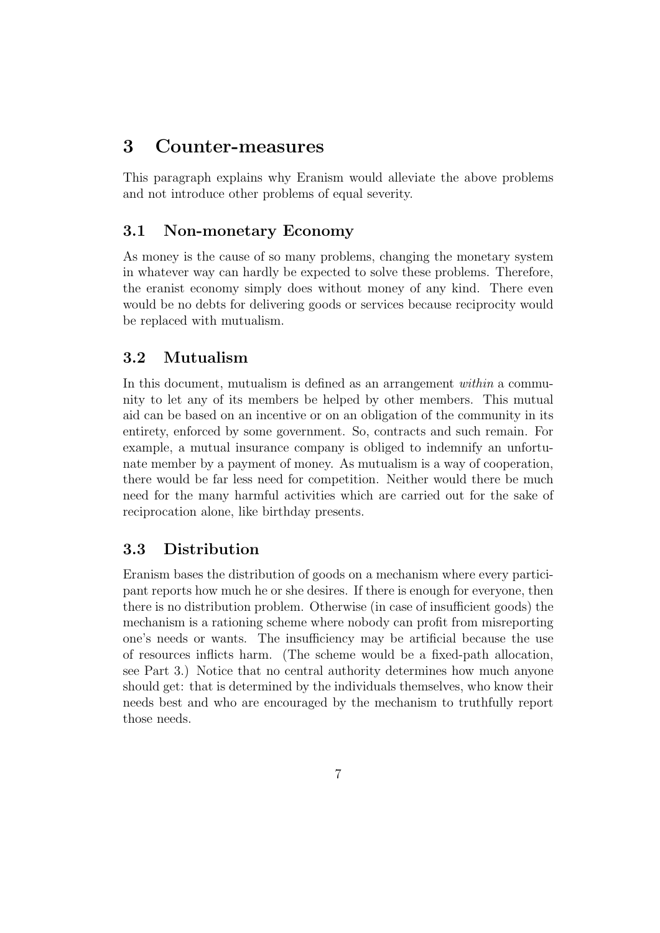## 3 Counter-measures

This paragraph explains why Eranism would alleviate the above problems and not introduce other problems of equal severity.

### 3.1 Non-monetary Economy

As money is the cause of so many problems, changing the monetary system in whatever way can hardly be expected to solve these problems. Therefore, the eranist economy simply does without money of any kind. There even would be no debts for delivering goods or services because reciprocity would be replaced with mutualism.

### 3.2 Mutualism

In this document, mutualism is defined as an arrangement *within* a community to let any of its members be helped by other members. This mutual aid can be based on an incentive or on an obligation of the community in its entirety, enforced by some government. So, contracts and such remain. For example, a mutual insurance company is obliged to indemnify an unfortunate member by a payment of money. As mutualism is a way of cooperation, there would be far less need for competition. Neither would there be much need for the many harmful activities which are carried out for the sake of reciprocation alone, like birthday presents.

#### 3.3 Distribution

Eranism bases the distribution of goods on a mechanism where every participant reports how much he or she desires. If there is enough for everyone, then there is no distribution problem. Otherwise (in case of insufficient goods) the mechanism is a rationing scheme where nobody can profit from misreporting one's needs or wants. The insufficiency may be artificial because the use of resources inflicts harm. (The scheme would be a fixed-path allocation, see Part 3.) Notice that no central authority determines how much anyone should get: that is determined by the individuals themselves, who know their needs best and who are encouraged by the mechanism to truthfully report those needs.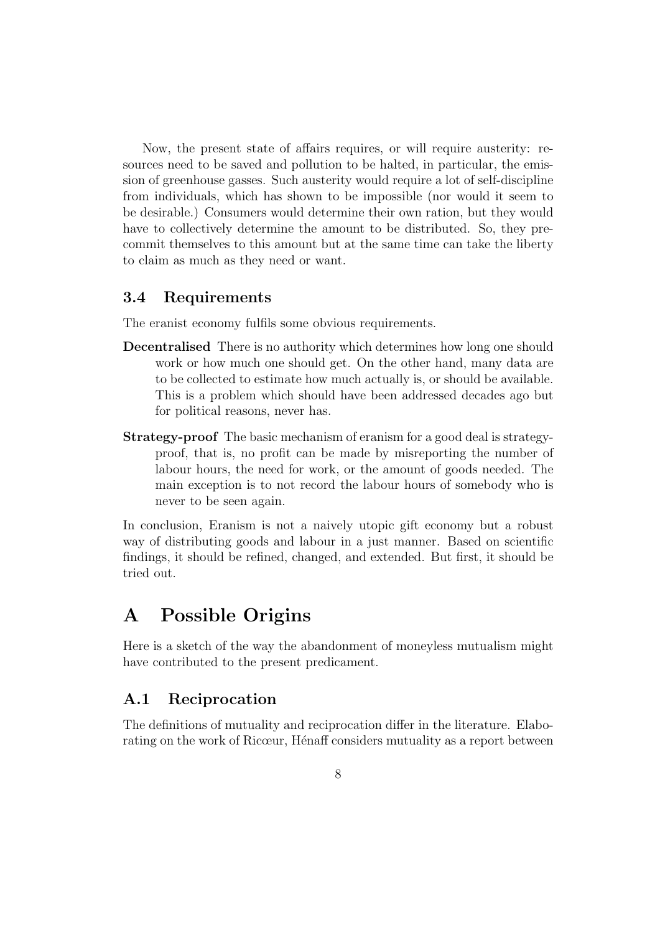Now, the present state of affairs requires, or will require austerity: resources need to be saved and pollution to be halted, in particular, the emission of greenhouse gasses. Such austerity would require a lot of self-discipline from individuals, which has shown to be impossible (nor would it seem to be desirable.) Consumers would determine their own ration, but they would have to collectively determine the amount to be distributed. So, they precommit themselves to this amount but at the same time can take the liberty to claim as much as they need or want.

#### 3.4 Requirements

The eranist economy fulfils some obvious requirements.

- Decentralised There is no authority which determines how long one should work or how much one should get. On the other hand, many data are to be collected to estimate how much actually is, or should be available. This is a problem which should have been addressed decades ago but for political reasons, never has.
- Strategy-proof The basic mechanism of eranism for a good deal is strategyproof, that is, no profit can be made by misreporting the number of labour hours, the need for work, or the amount of goods needed. The main exception is to not record the labour hours of somebody who is never to be seen again.

In conclusion, Eranism is not a naively utopic gift economy but a robust way of distributing goods and labour in a just manner. Based on scientific findings, it should be refined, changed, and extended. But first, it should be tried out.

## A Possible Origins

Here is a sketch of the way the abandonment of moneyless mutualism might have contributed to the present predicament.

#### A.1 Reciprocation

The definitions of mutuality and reciprocation differ in the literature. Elaborating on the work of Ricœur, Hénaff considers mutuality as a report between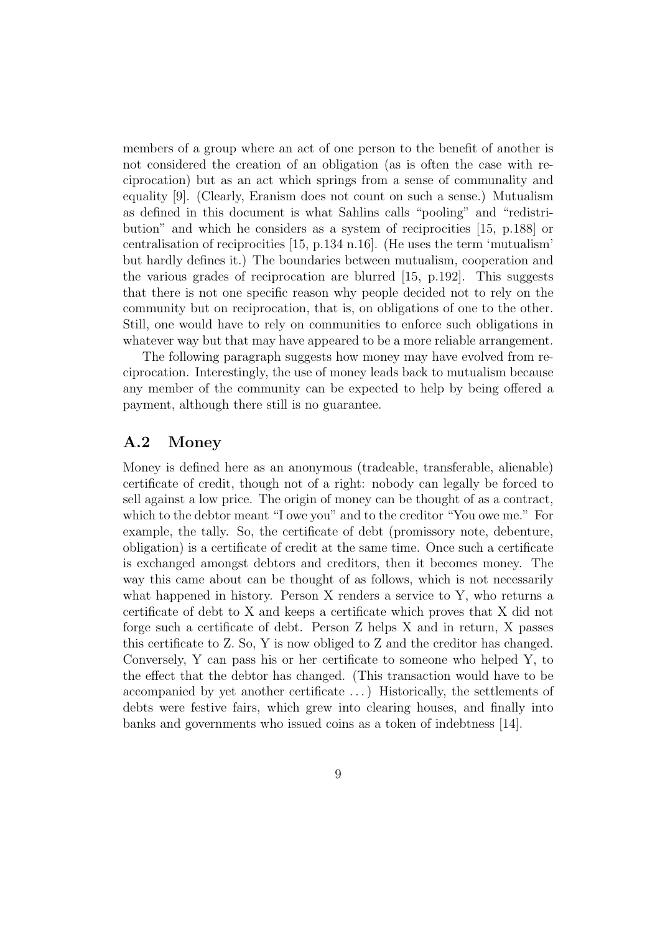members of a group where an act of one person to the benefit of another is not considered the creation of an obligation (as is often the case with reciprocation) but as an act which springs from a sense of communality and equality [9]. (Clearly, Eranism does not count on such a sense.) Mutualism as defined in this document is what Sahlins calls "pooling" and "redistribution" and which he considers as a system of reciprocities [15, p.188] or centralisation of reciprocities [15, p.134 n.16]. (He uses the term 'mutualism' but hardly defines it.) The boundaries between mutualism, cooperation and the various grades of reciprocation are blurred [15, p.192]. This suggests that there is not one specific reason why people decided not to rely on the community but on reciprocation, that is, on obligations of one to the other. Still, one would have to rely on communities to enforce such obligations in whatever way but that may have appeared to be a more reliable arrangement.

The following paragraph suggests how money may have evolved from reciprocation. Interestingly, the use of money leads back to mutualism because any member of the community can be expected to help by being offered a payment, although there still is no guarantee.

#### A.2 Money

Money is defined here as an anonymous (tradeable, transferable, alienable) certificate of credit, though not of a right: nobody can legally be forced to sell against a low price. The origin of money can be thought of as a contract, which to the debtor meant "I owe you" and to the creditor "You owe me." For example, the tally. So, the certificate of debt (promissory note, debenture, obligation) is a certificate of credit at the same time. Once such a certificate is exchanged amongst debtors and creditors, then it becomes money. The way this came about can be thought of as follows, which is not necessarily what happened in history. Person X renders a service to Y, who returns a certificate of debt to X and keeps a certificate which proves that X did not forge such a certificate of debt. Person Z helps X and in return, X passes this certificate to Z. So, Y is now obliged to Z and the creditor has changed. Conversely, Y can pass his or her certificate to someone who helped Y, to the effect that the debtor has changed. (This transaction would have to be accompanied by yet another certificate . . . ) Historically, the settlements of debts were festive fairs, which grew into clearing houses, and finally into banks and governments who issued coins as a token of indebtness [14].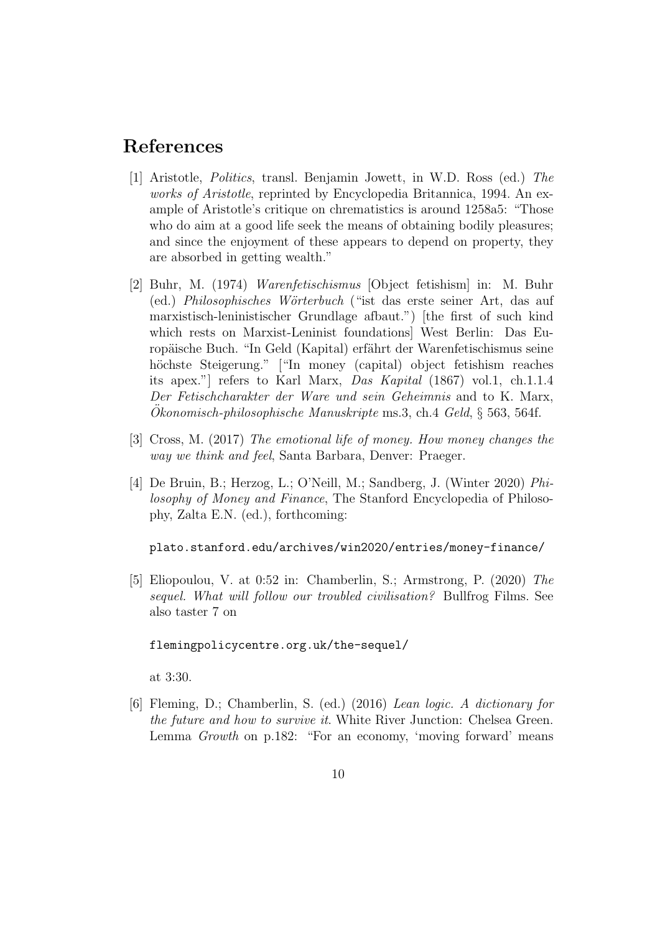### References

- [1] Aristotle, Politics, transl. Benjamin Jowett, in W.D. Ross (ed.) The works of Aristotle, reprinted by Encyclopedia Britannica, 1994. An example of Aristotle's critique on chrematistics is around 1258a5: "Those who do aim at a good life seek the means of obtaining bodily pleasures; and since the enjoyment of these appears to depend on property, they are absorbed in getting wealth."
- [2] Buhr, M. (1974) Warenfetischismus [Object fetishism] in: M. Buhr (ed.) Philosophisches Wörterbuch ("ist das erste seiner Art, das auf marxistisch-leninistischer Grundlage afbaut.") [the first of such kind which rests on Marxist-Leninist foundations] West Berlin: Das Europäische Buch. "In Geld (Kapital) erfährt der Warenfetischismus seine höchste Steigerung." ["In money (capital) object fetishism reaches its apex."] refers to Karl Marx, Das Kapital (1867) vol.1, ch.1.1.4 Der Fetischcharakter der Ware und sein Geheimnis and to K. Marx, Okonomisch-philosophische Manuskripte ms.3, ch.4 Geld,  $\S$  563, 564f.
- [3] Cross, M. (2017) The emotional life of money. How money changes the way we think and feel, Santa Barbara, Denver: Praeger.
- [4] De Bruin, B.; Herzog, L.; O'Neill, M.; Sandberg, J. (Winter 2020) Philosophy of Money and Finance, The Stanford Encyclopedia of Philosophy, Zalta E.N. (ed.), forthcoming:

plato.stanford.edu/archives/win2020/entries/money-finance/

[5] Eliopoulou, V. at 0:52 in: Chamberlin, S.; Armstrong, P. (2020) The sequel. What will follow our troubled civilisation? Bullfrog Films. See also taster 7 on

#### flemingpolicycentre.org.uk/the-sequel/

at 3:30.

[6] Fleming, D.; Chamberlin, S. (ed.) (2016) Lean logic. A dictionary for the future and how to survive it. White River Junction: Chelsea Green. Lemma *Growth* on p.182: "For an economy, 'moving forward' means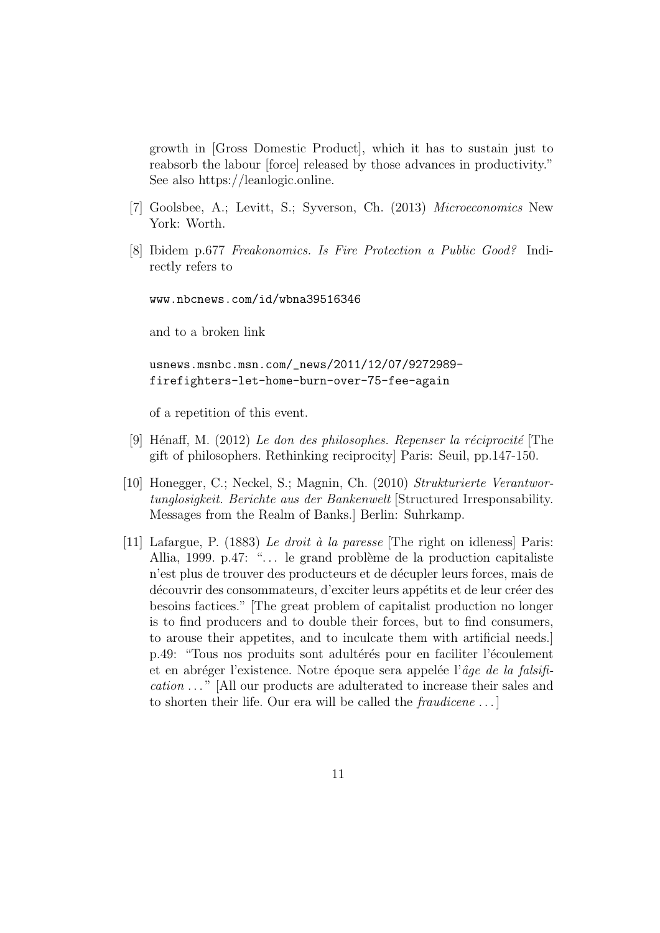growth in [Gross Domestic Product], which it has to sustain just to reabsorb the labour [force] released by those advances in productivity." See also https://leanlogic.online.

- [7] Goolsbee, A.; Levitt, S.; Syverson, Ch. (2013) Microeconomics New York: Worth.
- [8] Ibidem p.677 Freakonomics. Is Fire Protection a Public Good? Indirectly refers to

www.nbcnews.com/id/wbna39516346

and to a broken link

usnews.msnbc.msn.com/\_news/2011/12/07/9272989 firefighters-let-home-burn-over-75-fee-again

of a repetition of this event.

- [9] Hénaff, M. (2012) Le don des philosophes. Repenser la réciprocité [The gift of philosophers. Rethinking reciprocity] Paris: Seuil, pp.147-150.
- [10] Honegger, C.; Neckel, S.; Magnin, Ch. (2010) Strukturierte Verantwortunglosigkeit. Berichte aus der Bankenwelt [Structured Irresponsability. Messages from the Realm of Banks.] Berlin: Suhrkamp.
- [11] Lafargue, P. (1883) Le droit à la paresse [The right on idleness] Paris: Allia, 1999. p.47: "... le grand problème de la production capitaliste n'est plus de trouver des producteurs et de décupler leurs forces, mais de découvrir des consommateurs, d'exciter leurs appétits et de leur créer des besoins factices." [The great problem of capitalist production no longer is to find producers and to double their forces, but to find consumers, to arouse their appetites, and to inculcate them with artificial needs.] p.49: "Tous nos produits sont adultérés pour en faciliter l'écoulement et en abréger l'existence. Notre époque sera appelée l' $\hat{a}$ ge de la falsification . . . " [All our products are adulterated to increase their sales and to shorten their life. Our era will be called the *fraudicene* ...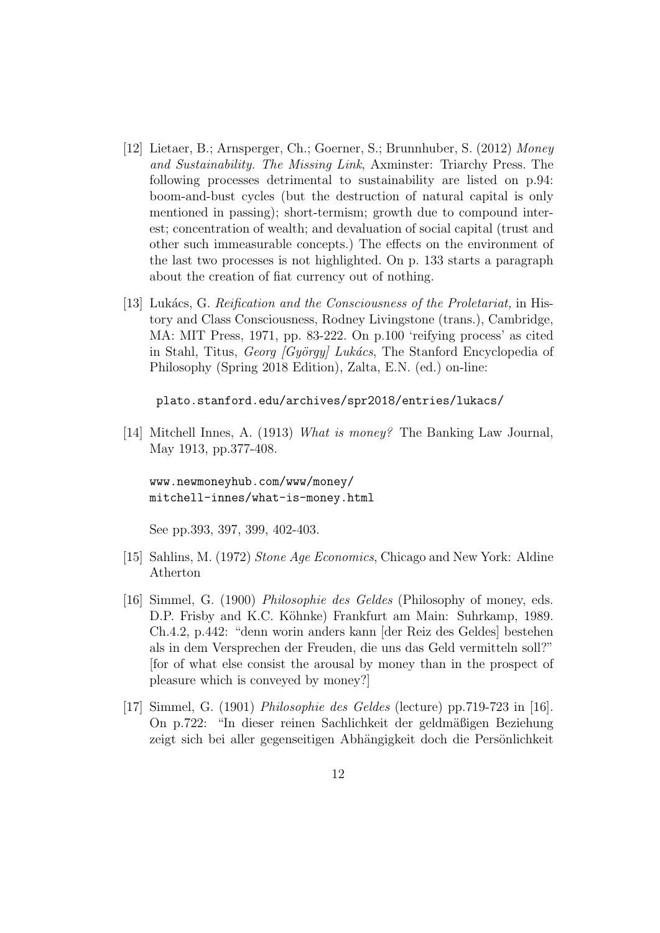- [12] Lietaer, B.; Arnsperger, Ch.; Goerner, S.; Brunnhuber, S. (2012) Money and Sustainability. The Missing Link, Axminster: Triarchy Press. The following processes detrimental to sustainability are listed on p.94: boom-and-bust cycles (but the destruction of natural capital is only mentioned in passing); short-termism; growth due to compound interest; concentration of wealth; and devaluation of social capital (trust and other such immeasurable concepts.) The effects on the environment of the last two processes is not highlighted. On p. 133 starts a paragraph about the creation of fiat currency out of nothing.
- [13] Lukács, G. Reification and the Consciousness of the Proletariat, in History and Class Consciousness, Rodney Livingstone (trans.), Cambridge, MA: MIT Press, 1971, pp. 83-222. On p.100 'reifying process' as cited in Stahl, Titus, Georg [György] Lukács, The Stanford Encyclopedia of Philosophy (Spring 2018 Edition), Zalta, E.N. (ed.) on-line:

plato.stanford.edu/archives/spr2018/entries/lukacs/

[14] Mitchell Innes, A. (1913) What is money? The Banking Law Journal, May 1913, pp.377-408.

www.newmoneyhub.com/www/money/ mitchell-innes/what-is-money.html

See pp.393, 397, 399, 402-403.

- [15] Sahlins, M. (1972) Stone Age Economics, Chicago and New York: Aldine Atherton
- [16] Simmel, G. (1900) Philosophie des Geldes (Philosophy of money, eds. D.P. Frisby and K.C. Köhnke) Frankfurt am Main: Suhrkamp, 1989. Ch.4.2, p.442: "denn worin anders kann [der Reiz des Geldes] bestehen als in dem Versprechen der Freuden, die uns das Geld vermitteln soll?" [for of what else consist the arousal by money than in the prospect of pleasure which is conveyed by money?]
- [17] Simmel, G. (1901) Philosophie des Geldes (lecture) pp.719-723 in [16]. On p.722: "In dieser reinen Sachlichkeit der geldmäßigen Beziehung zeigt sich bei aller gegenseitigen Abhängigkeit doch die Persönlichkeit